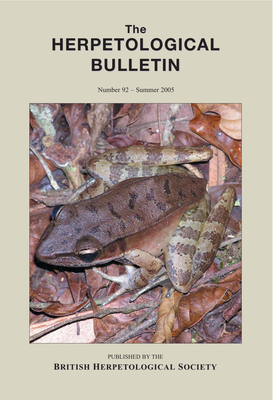# **The HERPETOLOGICAL HERPETOLOGICAL BULLETIN BULLETIN**

Number 92 – Summer 2005



# PUBLISHED BY THE **BRITISH HERPETOLOGICAL SOCIETY**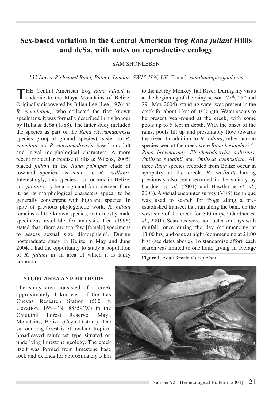# **Sex-based variation in the Central American frog** *Rana juliani* **Hillis and deSa, with notes on reproductive ecology**

# SAM SHONLEBEN

*132 Lower Richmond Road, Putney, London, SW15 1LN, UK.* E-mail: *samilambipie@aol.com*

THE Central American frog *Rana juliani* is endemic to the Maya Mountains of Belize. Originally discovered by Julian Lee (Lee, 1976; as *R. maculatum*), who collected the first known specimens, it was formally described in his honour by Hillis & deSa (1988). The latter study included the species as part of the *Rana sierramadrensis* species group (highland species), sister to *R. maculata* and *R. sierramadrensis*, based on adult and larval morphological characters. A more recent molecular treatise (Hillis & Wilcox, 2005) placed *juliani* in the *Rana palmipes* clade of lowland species, as sister to *R. vaillanti*. Interestingly, this species also occurs in Belize, and *juliani* may be a highland form derived from it, as its morphological characters appear to be generally convergent with highland species. In spite of previous phylogenetic work, *R. juliani* remains a little known species, with mostly male specimens available for analysis. Lee (1996) stated that 'there are too few [female] specimens to assess sexual size dimorphism'. During postgraduate study in Belize in May and June 2004, I had the opportunity to study a population of *R. juliani* in an area of which it is fairly common.

to the nearby Monkey Tail River. During my visits at the beginning of the rainy season (25th, 28th and 29th May 2004), standing water was present in the creek for about 1 km of its length. Water seems to be present year-round at the creek, with some pools up to 5 feet in depth. With the onset of the rains, pools fill up and presumably flow towards the river. In addition to *R. juliani*, other anuran species seen at the creek were *Rana berlandieri (= Rana brownorum)*, *Eleutherodactylus sabrinus, Smilisca baudinii* and *Smilisca cyanosticta*. All three *Rana* species recorded from Belize occur in sympatry at the creek, *R. vaillanti* having previously also been recorded in the vicinity by Gardner *et. al*. (2001) and Hawthorne *et. al*., 2003). A visual encounter survey (VES) technique was used to search for frogs along a preestablished transect that ran along the bank on the west side of the creek for 500 m (see Gardner *et. al*., 2001). Searches were conducted on days with rainfall, once during the day (commencing at 13:00 hrs) and once at night (commencing at 21:00 hrs) (see dates above). To standardise effort, each search was limited to one hour, giving an average

**Figure 1**. Adult female *Rana juliani*.

#### **STUDY AREA AND METHODS**

The study area consisted of a creek approximately 4 km east of the Las Cuevas Research Station (500 m elevation, 16°44'N, 88°59'W) in the Chiquibil Forest Reserve, Maya Mountains, Belize (Cayo District). The surrounding forest is of lowland tropical broadleaved rainforest type situated on underlying limestone geology. The creek itself was formed from limestone base rock and extends for approximately 5 km

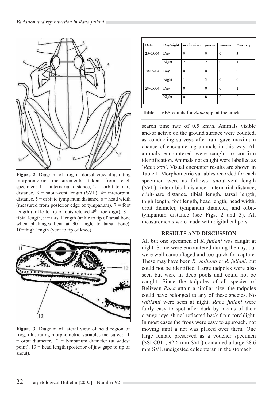

**Figure 2**. Diagram of frog in dorsal view illustrating morphometric measurements taken from each specimen:  $1 =$  internarial distance,  $2 =$  orbit to nare distance,  $3 =$  snout-vent length (SVL),  $4=$  interorbital distance,  $5 =$  orbit to tympanum distance,  $6 =$  head width (measured from posterior edge of tympanum),  $7 =$  foot length (ankle to tip of outstretched  $4<sup>th</sup>$  toe digit),  $8 =$ tibial length,  $9 =$  tarsal length (ankle to tip of tarsal bone when phalanges bent at 90º angle to tarsal bone), 10=thigh length (vent to tip of knee).



**Figure 3.** Diagram of lateral view of head region of frog, illustrating morphometric variables measured: 11  $=$  orbit diameter,  $12 =$  tympanum diameter (at widest point), 13 = head length (posterior of jaw gape to tip of snout).

| Date     | Day/night | berlandieri    | juliani        | vaillanti | Rana spp.      |
|----------|-----------|----------------|----------------|-----------|----------------|
| 25/05/04 | Day       | $\theta$       | $\Omega$       | $\theta$  | 3              |
|          | Night     | $\overline{c}$ | $\mathfrak{D}$ | $\Omega$  |                |
| 28/05/04 | Day       | $\theta$       | $\Omega$       | $\Omega$  | $\overline{c}$ |
|          | Night     | 1              | 3              | $\Omega$  | $\theta$       |
| 29/05/04 | Day       | $\theta$       | $\Omega$       | $\Omega$  | 1              |
|          | Night     | $\theta$       | 8              | $\Omega$  | $\Omega$       |

**Table 1**. VES counts for *Rana* spp. at the creek.

search time rate of 0.5 km/h. Animals visible and/or active on the ground surface were counted, as conducting surveys after rain gave maximum chance of encountering animals in this way. All animals encountered were caught to confirm identification. Animals not caught were labelled as '*Rana* spp'. Visual encounter results are shown in Table 1. Morphometric variables recorded for each specimen were as follows: snout-vent length (SVL), interorbital distance, internarial distance, orbit-nare distance, tibial length, tarsal length, thigh length, foot length, head length, head width, orbit diameter, tympanum diameter, and orbittympanum distance (see Figs. 2 and 3). All measurements were made with digital calipers.

### **RESULTS AND DISCUSSION**

All but one specimen of *R. juliani* was caught at night. Some were encountered during the day, but were well-camouflaged and too quick for capture. These may have been *R. vaillanti* or *R. juliani,* but could not be identified. Large tadpoles were also seen but were in deep pools and could not be caught. Since the tadpoles of all species of Belizean *Rana* attain a similar size, the tadpoles could have belonged to any of these species. No *vaillanti* were seen at night. *Rana juliani* were fairly easy to spot after dark by means of their orange 'eye shine' reflected back from torchlight. In most cases the frogs were easy to approach, not moving until a net was placed over them. One large female preserved as a voucher specimen (SSLC011, 92.6 mm SVL) contained a large 28.6 mm SVL undigested coleopteran in the stomach.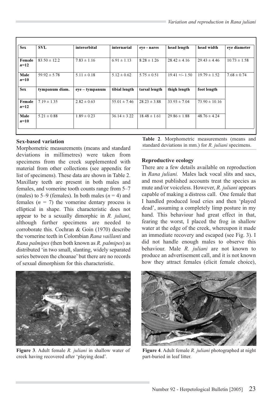| <b>Sex</b>       | <b>SVL</b>       | interorbital     | internarial      | eve - nares      | head length      | head width        | eye diameter     |
|------------------|------------------|------------------|------------------|------------------|------------------|-------------------|------------------|
| Female<br>$n=12$ | $83.50 \pm 12.2$ | $7.83 \pm 1.16$  | $6.91 \pm 1.13$  | $8.28 \pm 1.26$  | $28.42 \pm 4.16$ | $29.43 \pm 4.46$  | $10.73 \pm 1.58$ |
| Male<br>$n=10$   | $59.92 \pm 5.78$ | $5.11 \pm 0.18$  | $5.12 \pm 0.62$  | $5.75 \pm 0.51$  | $19.41 +/- 1.50$ | $19.79 \pm 1.52$  | $7.68 \pm 0.74$  |
| <b>Sex</b>       | tympanum diam.   | $eye - tympanum$ | tibial length    | tarsal length    | thigh length     | foot length       |                  |
| Female<br>$n=12$ | $7.19 \pm 1.35$  | $2.82 \pm 0.63$  | $55.01 \pm 7.46$ | $28.23 \pm 3.88$ | $33.93 \pm 7.04$ | $73.90 \pm 10.16$ |                  |
| Male<br>$n=10$   | $5.21 \pm 0.88$  | $1.89 \pm 0.23$  | $36.14 \pm 3.22$ | $18.48 \pm 1.61$ | $29.86 \pm 1.88$ | $48.76 \pm 4.24$  |                  |

# **Sex-based variation**

Morphometric measurements (means and standard deviations in millimetres) were taken from specimens from the creek supplemented with material from other collections (see appendix for list of specimens). These data are shown in Table 2. Maxillary teeth are present in both males and females, and vomerine tooth counts range from 5–7 (males) to 5–9 (females). In both males  $(n = 4)$  and females  $(n = 7)$  the vomerine dentary process is elliptical in shape. This characteristic does not appear to be a sexually dimorphic in *R. juliani*, although further specimens are needed to corroborate this. Cochran & Goin (1970) describe the vomerine teeth in Colombian *Rana vaillanti* and *Rana palmipes* (then both known as *R. palmipes*) as distributed 'in two small, slanting, widely separated series between the choanae' but there are no records of sexual dimorphism for this characteristic.



**Figure 3**. Adult female *R. juliani* in shallow water of creek having recovered after 'playing dead'.

**Table 2**. Morphometric measurements (means and standard deviations in mm.) for *R. juliani* specimens.

# **Reproductive ecology**

There are a few details available on reproduction in *Rana juliani.* Males lack vocal slits and sacs, and most published accounts treat the species as mute and/or voiceless. However, *R. juliani* appears capable of making a distress call. One female that I handled produced loud cries and then 'played dead', assuming a completely limp posture in my hand. This behaviour had great effect in that, fearing the worst, I placed the frog in shallow water at the edge of the creek, whereupon it made an immediate recovery and escaped (see Fig. 3). I did not handle enough males to observe this behaviour. Male *R. juliani* are not known to produce an advertisement call, and it is not known how they attract females (elicit female choice),



**Figure 4**. Adult female *R. juliani* photographed at night part-buried in leaf litter.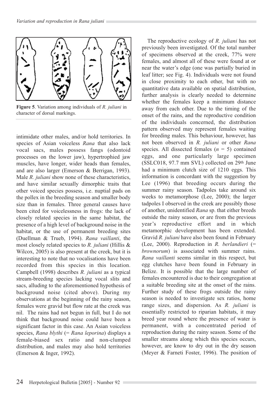

**Figure 5**. Variation among individuals of *R. juliani* in character of dorsal markings.

intimidate other males, and/or hold territories. In species of Asian voiceless *Rana* that also lack vocal sacs, males possess fangs (odontoid processes on the lower jaw), hypertrophied jaw muscles, have longer, wider heads than females, and are also larger (Emerson & Berrigan, 1993). Male *R. juliani* show none of these characteristics, and have similar sexually dimorphic traits that other voiced species possess, i.e. nuptial pads on the pollex in the breeding season and smaller body size than in females. Three general causes have been cited for voicelessness in frogs: the lack of closely related species in the same habitat, the presence of a high level of background noise in the habitat, or the use of permanent breeding sites (Duellman & Trueb, 1994). *Rana vaillanti*, the most closely related species to *R. juliani* (Hillis & Wilcox, 2005) is also present at the creek, but it is interesting to note that no vocalisations have been recorded from this species in this location. Campbell (1998) describes *R. juliani* as a typical stream-breeding species lacking vocal slits and sacs, alluding to the aforementioned hypothesis of background noise (cited above). During my observations at the beginning of the rainy season, females were gravid but flow rate at the creek was nil. The rains had not begun in full, but I do not think that background noise could have been a significant factor in this case. An Asian voiceless species, *Rana blythi* (= *Rana leporina*) displays a female-biased sex ratio and non-clumped distribution, and males may also hold territories (Emerson & Inger, 1992).

The reproductive ecology of *R. juliani* has not previously been investigated. Of the total number of specimens observed at the creek, 77% were females, and almost all of these were found at or near the water's edge (one was partially buried in leaf litter; see Fig. 4). Individuals were not found in close proximity to each other, but with no quantitative data available on spatial distribution, further analysis is clearly needed to determine whether the females keep a minimum distance away from each other. Due to the timing of the onset of the rains, and the reproductive condition of the individuals concerned, the distribution pattern observed may represent females waiting for breeding males. This behaviour, however, has not been observed in *R. juliani* or other *Rana* species. All dissected females (*n* = 5) contained eggs, and one particularly large specimen  $(SSLC018, 97.7 \text{ mm } SVL)$  collected on  $29<sup>th</sup>$  June had a minimum clutch size of 1210 eggs. This information is concordant with the suggestion by Lee (1996) that breeding occurs during the summer rainy season. Tadpoles take around six weeks to metamorphose (Lee, 2000); the larger tadpoles I observed in the creek are possibly those of another, unidentified *Rana* sp. that either breeds outside the rainy season, or are from the previous year's reproductive effort and in which metamorphic development has been extended. Gravid *R. juliani* have also been found in February (Lee, 2000). Reproduction in *R. berlandieri* (= *brownorum*) is associated with summer rains. *Rana vaillanti* seems similar in this respect, but egg clutches have been found in February in Belize. It is possible that the large number of females encountered is due to their congregation at a suitable breeding site at the onset of the rains. Further study of these frogs outside the rainy season is needed to investigate sex ratios, home range sizes, and dispersion. As *R. juliani* is essentially restricted to riparian habitats, it may breed year round where the presence of water is permanent, with a concentrated period of reproduction during the rainy season. Some of the smaller streams along which this species occurs, however, are know to dry out in the dry season (Meyer & Farneti Foster, 1996). The position of